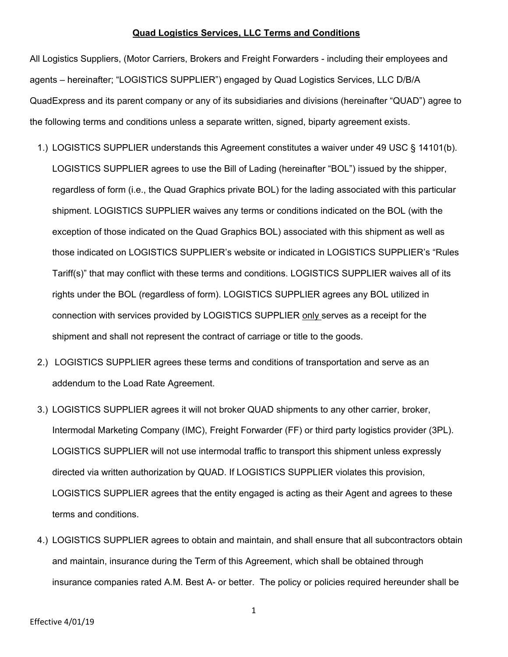## **Quad Logistics Services, LLC Terms and Conditions**

All Logistics Suppliers, (Motor Carriers, Brokers and Freight Forwarders - including their employees and agents – hereinafter; "LOGISTICS SUPPLIER") engaged by Quad Logistics Services, LLC D/B/A QuadExpress and its parent company or any of its subsidiaries and divisions (hereinafter "QUAD") agree to the following terms and conditions unless a separate written, signed, biparty agreement exists.

- 1.) LOGISTICS SUPPLIER understands this Agreement constitutes a waiver under 49 USC § 14101(b). LOGISTICS SUPPLIER agrees to use the Bill of Lading (hereinafter "BOL") issued by the shipper, regardless of form (i.e., the Quad Graphics private BOL) for the lading associated with this particular shipment. LOGISTICS SUPPLIER waives any terms or conditions indicated on the BOL (with the exception of those indicated on the Quad Graphics BOL) associated with this shipment as well as those indicated on LOGISTICS SUPPLIER's website or indicated in LOGISTICS SUPPLIER's "Rules Tariff(s)" that may conflict with these terms and conditions. LOGISTICS SUPPLIER waives all of its rights under the BOL (regardless of form). LOGISTICS SUPPLIER agrees any BOL utilized in connection with services provided by LOGISTICS SUPPLIER only serves as a receipt for the shipment and shall not represent the contract of carriage or title to the goods.
- 2.) LOGISTICS SUPPLIER agrees these terms and conditions of transportation and serve as an addendum to the Load Rate Agreement.
- 3.) LOGISTICS SUPPLIER agrees it will not broker QUAD shipments to any other carrier, broker, Intermodal Marketing Company (IMC), Freight Forwarder (FF) or third party logistics provider (3PL). LOGISTICS SUPPLIER will not use intermodal traffic to transport this shipment unless expressly directed via written authorization by QUAD. If LOGISTICS SUPPLIER violates this provision, LOGISTICS SUPPLIER agrees that the entity engaged is acting as their Agent and agrees to these terms and conditions.
- 4.) LOGISTICS SUPPLIER agrees to obtain and maintain, and shall ensure that all subcontractors obtain and maintain, insurance during the Term of this Agreement, which shall be obtained through insurance companies rated A.M. Best A- or better. The policy or policies required hereunder shall be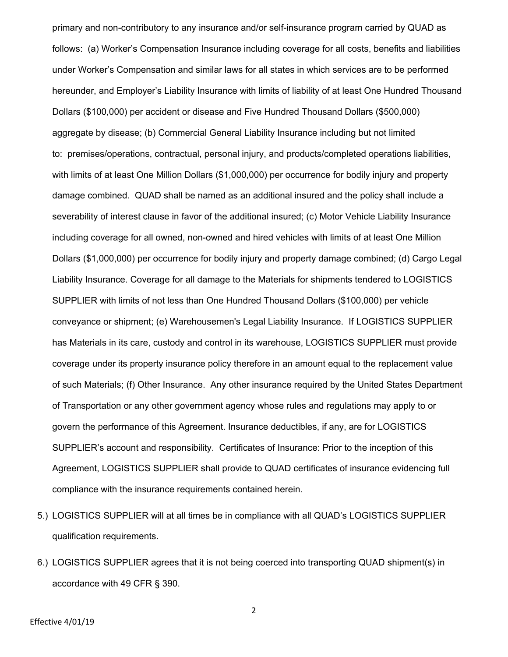primary and non-contributory to any insurance and/or self-insurance program carried by QUAD as follows: (a) Worker's Compensation Insurance including coverage for all costs, benefits and liabilities under Worker's Compensation and similar laws for all states in which services are to be performed hereunder, and Employer's Liability Insurance with limits of liability of at least One Hundred Thousand Dollars (\$100,000) per accident or disease and Five Hundred Thousand Dollars (\$500,000) aggregate by disease; (b) Commercial General Liability Insurance including but not limited to: premises/operations, contractual, personal injury, and products/completed operations liabilities, with limits of at least One Million Dollars (\$1,000,000) per occurrence for bodily injury and property damage combined. QUAD shall be named as an additional insured and the policy shall include a severability of interest clause in favor of the additional insured; (c) Motor Vehicle Liability Insurance including coverage for all owned, non-owned and hired vehicles with limits of at least One Million Dollars (\$1,000,000) per occurrence for bodily injury and property damage combined; (d) Cargo Legal Liability Insurance. Coverage for all damage to the Materials for shipments tendered to LOGISTICS SUPPLIER with limits of not less than One Hundred Thousand Dollars (\$100,000) per vehicle conveyance or shipment; (e) Warehousemen's Legal Liability Insurance. If LOGISTICS SUPPLIER has Materials in its care, custody and control in its warehouse, LOGISTICS SUPPLIER must provide coverage under its property insurance policy therefore in an amount equal to the replacement value of such Materials; (f) Other Insurance. Any other insurance required by the United States Department of Transportation or any other government agency whose rules and regulations may apply to or govern the performance of this Agreement. Insurance deductibles, if any, are for LOGISTICS SUPPLIER's account and responsibility. Certificates of Insurance: Prior to the inception of this Agreement, LOGISTICS SUPPLIER shall provide to QUAD certificates of insurance evidencing full compliance with the insurance requirements contained herein.

- 5.) LOGISTICS SUPPLIER will at all times be in compliance with all QUAD's LOGISTICS SUPPLIER qualification requirements.
- 6.) LOGISTICS SUPPLIER agrees that it is not being coerced into transporting QUAD shipment(s) in accordance with 49 CFR § 390.

2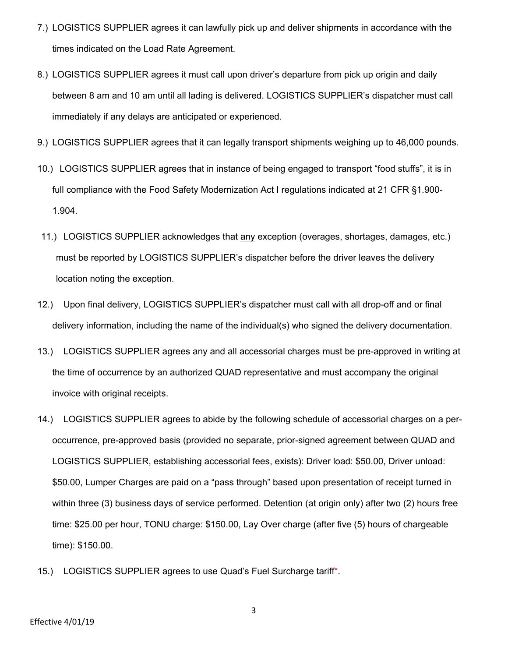- 7.) LOGISTICS SUPPLIER agrees it can lawfully pick up and deliver shipments in accordance with the times indicated on the Load Rate Agreement.
- 8.) LOGISTICS SUPPLIER agrees it must call upon driver's departure from pick up origin and daily between 8 am and 10 am until all lading is delivered. LOGISTICS SUPPLIER's dispatcher must call immediately if any delays are anticipated or experienced.
- 9.) LOGISTICS SUPPLIER agrees that it can legally transport shipments weighing up to 46,000 pounds.
- 10.) LOGISTICS SUPPLIER agrees that in instance of being engaged to transport "food stuffs", it is in full compliance with the Food Safety Modernization Act I regulations indicated at 21 CFR §1.900- 1.904.
- 11.) LOGISTICS SUPPLIER acknowledges that any exception (overages, shortages, damages, etc.) must be reported by LOGISTICS SUPPLIER's dispatcher before the driver leaves the delivery location noting the exception.
- 12.) Upon final delivery, LOGISTICS SUPPLIER's dispatcher must call with all drop-off and or final delivery information, including the name of the individual(s) who signed the delivery documentation.
- 13.) LOGISTICS SUPPLIER agrees any and all accessorial charges must be pre-approved in writing at the time of occurrence by an authorized QUAD representative and must accompany the original invoice with original receipts.
- 14.) LOGISTICS SUPPLIER agrees to abide by the following schedule of accessorial charges on a peroccurrence, pre-approved basis (provided no separate, prior-signed agreement between QUAD and LOGISTICS SUPPLIER, establishing accessorial fees, exists): Driver load: \$50.00, Driver unload: \$50.00, Lumper Charges are paid on a "pass through" based upon presentation of receipt turned in within three (3) business days of service performed. Detention (at origin only) after two (2) hours free time: \$25.00 per hour, TONU charge: \$150.00, Lay Over charge (after five (5) hours of chargeable time): \$150.00.
- 15.) LOGISTICS SUPPLIER agrees to use Quad's Fuel Surcharge tariff\*.

3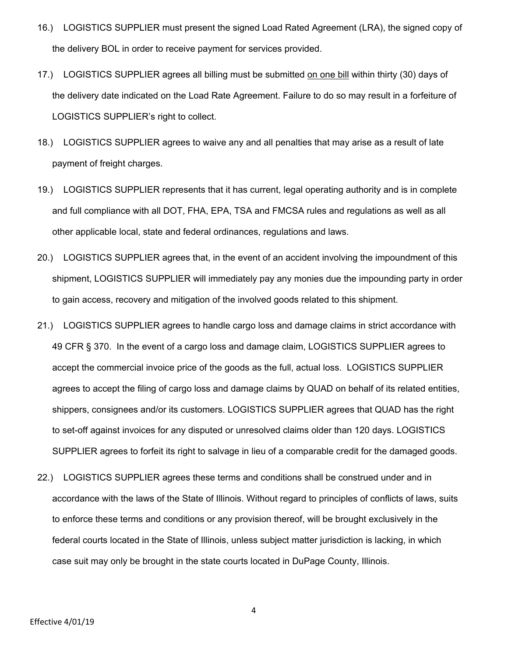- 16.) LOGISTICS SUPPLIER must present the signed Load Rated Agreement (LRA), the signed copy of the delivery BOL in order to receive payment for services provided.
- 17.) LOGISTICS SUPPLIER agrees all billing must be submitted on one bill within thirty (30) days of the delivery date indicated on the Load Rate Agreement. Failure to do so may result in a forfeiture of LOGISTICS SUPPLIER's right to collect.
- 18.) LOGISTICS SUPPLIER agrees to waive any and all penalties that may arise as a result of late payment of freight charges.
- 19.) LOGISTICS SUPPLIER represents that it has current, legal operating authority and is in complete and full compliance with all DOT, FHA, EPA, TSA and FMCSA rules and regulations as well as all other applicable local, state and federal ordinances, regulations and laws.
- 20.) LOGISTICS SUPPLIER agrees that, in the event of an accident involving the impoundment of this shipment, LOGISTICS SUPPLIER will immediately pay any monies due the impounding party in order to gain access, recovery and mitigation of the involved goods related to this shipment.
- 21.) LOGISTICS SUPPLIER agrees to handle cargo loss and damage claims in strict accordance with 49 CFR § 370. In the event of a cargo loss and damage claim, LOGISTICS SUPPLIER agrees to accept the commercial invoice price of the goods as the full, actual loss. LOGISTICS SUPPLIER agrees to accept the filing of cargo loss and damage claims by QUAD on behalf of its related entities, shippers, consignees and/or its customers. LOGISTICS SUPPLIER agrees that QUAD has the right to set-off against invoices for any disputed or unresolved claims older than 120 days. LOGISTICS SUPPLIER agrees to forfeit its right to salvage in lieu of a comparable credit for the damaged goods.
- 22.) LOGISTICS SUPPLIER agrees these terms and conditions shall be construed under and in accordance with the laws of the State of Illinois. Without regard to principles of conflicts of laws, suits to enforce these terms and conditions or any provision thereof, will be brought exclusively in the federal courts located in the State of Illinois, unless subject matter jurisdiction is lacking, in which case suit may only be brought in the state courts located in DuPage County, Illinois.

4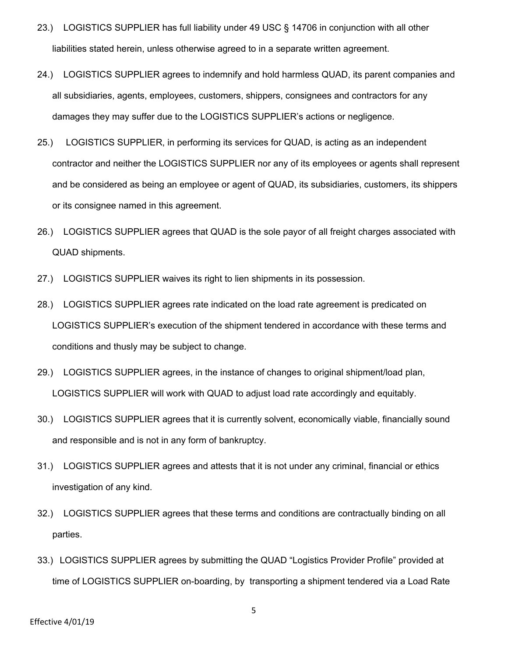- 23.) LOGISTICS SUPPLIER has full liability under 49 USC § 14706 in conjunction with all other liabilities stated herein, unless otherwise agreed to in a separate written agreement.
- 24.) LOGISTICS SUPPLIER agrees to indemnify and hold harmless QUAD, its parent companies and all subsidiaries, agents, employees, customers, shippers, consignees and contractors for any damages they may suffer due to the LOGISTICS SUPPLIER's actions or negligence.
- 25.) LOGISTICS SUPPLIER, in performing its services for QUAD, is acting as an independent contractor and neither the LOGISTICS SUPPLIER nor any of its employees or agents shall represent and be considered as being an employee or agent of QUAD, its subsidiaries, customers, its shippers or its consignee named in this agreement.
- 26.) LOGISTICS SUPPLIER agrees that QUAD is the sole payor of all freight charges associated with QUAD shipments.
- 27.) LOGISTICS SUPPLIER waives its right to lien shipments in its possession.
- 28.) LOGISTICS SUPPLIER agrees rate indicated on the load rate agreement is predicated on LOGISTICS SUPPLIER's execution of the shipment tendered in accordance with these terms and conditions and thusly may be subject to change.
- 29.) LOGISTICS SUPPLIER agrees, in the instance of changes to original shipment/load plan, LOGISTICS SUPPLIER will work with QUAD to adjust load rate accordingly and equitably.
- 30.) LOGISTICS SUPPLIER agrees that it is currently solvent, economically viable, financially sound and responsible and is not in any form of bankruptcy.
- 31.) LOGISTICS SUPPLIER agrees and attests that it is not under any criminal, financial or ethics investigation of any kind.
- 32.) LOGISTICS SUPPLIER agrees that these terms and conditions are contractually binding on all parties.
- 33.) LOGISTICS SUPPLIER agrees by submitting the QUAD "Logistics Provider Profile" provided at time of LOGISTICS SUPPLIER on-boarding, by transporting a shipment tendered via a Load Rate